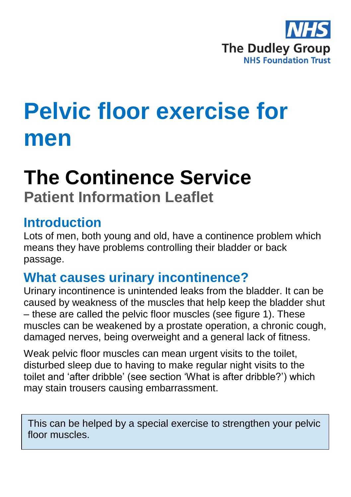

# **Pelvic floor exercise for men**

## **The Continence Service**

**Patient Information Leaflet**

### **Introduction**

Lots of men, both young and old, have a continence problem which means they have problems controlling their bladder or back passage.

## **What causes urinary incontinence?**

Urinary incontinence is unintended leaks from the bladder. It can be caused by weakness of the muscles that help keep the bladder shut – these are called the pelvic floor muscles (see figure 1). These muscles can be weakened by a prostate operation, a chronic cough, damaged nerves, being overweight and a general lack of fitness.

Weak pelvic floor muscles can mean urgent visits to the toilet, disturbed sleep due to having to make regular night visits to the toilet and 'after dribble' (see section 'What is after dribble?') which may stain trousers causing embarrassment.

This can be helped by a special exercise to strengthen your pelvic floor muscles.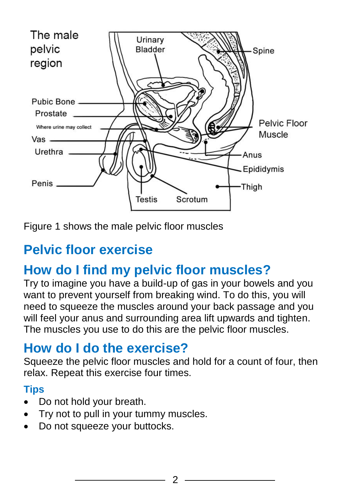

Figure 1 shows the male pelvic floor muscles

## **Pelvic floor exercise**

## **How do I find my pelvic floor muscles?**

Try to imagine you have a build-up of gas in your bowels and you want to prevent yourself from breaking wind. To do this, you will need to squeeze the muscles around your back passage and you will feel your anus and surrounding area lift upwards and tighten. The muscles you use to do this are the pelvic floor muscles.

## **How do I do the exercise?**

Squeeze the pelvic floor muscles and hold for a count of four, then relax. Repeat this exercise four times.

#### **Tips**

- Do not hold your breath.
- Try not to pull in your tummy muscles.
- Do not squeeze your buttocks.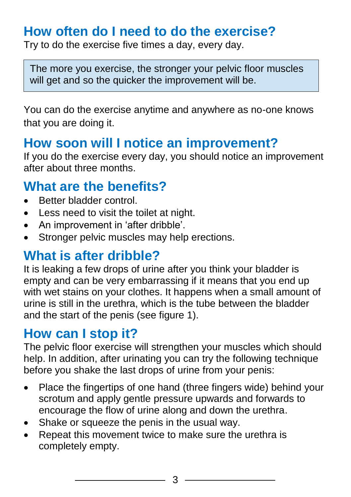## **How often do I need to do the exercise?**

Try to do the exercise five times a day, every day.

The more you exercise, the stronger your pelvic floor muscles will get and so the quicker the improvement will be.

You can do the exercise anytime and anywhere as no-one knows that you are doing it.

## **How soon will I notice an improvement?**

If you do the exercise every day, you should notice an improvement after about three months.

## **What are the benefits?**

- Better bladder control.
- Less need to visit the toilet at night.
- An improvement in 'after dribble'.
- Stronger pelvic muscles may help erections.

## **What is after dribble?**

It is leaking a few drops of urine after you think your bladder is empty and can be very embarrassing if it means that you end up with wet stains on your clothes. It happens when a small amount of urine is still in the urethra, which is the tube between the bladder and the start of the penis (see figure 1).

## **How can I stop it?**

The pelvic floor exercise will strengthen your muscles which should help. In addition, after urinating you can try the following technique before you shake the last drops of urine from your penis:

- Place the fingertips of one hand (three fingers wide) behind your scrotum and apply gentle pressure upwards and forwards to encourage the flow of urine along and down the urethra.
- Shake or squeeze the penis in the usual way.
- Repeat this movement twice to make sure the urethra is completely empty.